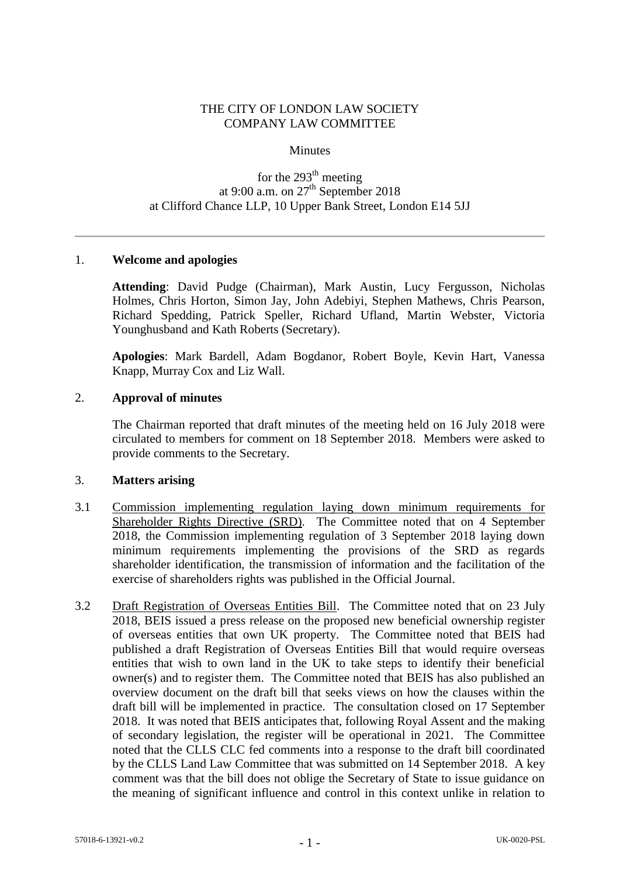## THE CITY OF LONDON LAW SOCIETY COMPANY LAW COMMITTEE

### **Minutes**

# for the  $293<sup>th</sup>$  meeting at 9:00 a.m. on  $27<sup>th</sup>$  September 2018 at Clifford Chance LLP, 10 Upper Bank Street, London E14 5JJ

## 1. **Welcome and apologies**

**Attending**: David Pudge (Chairman), Mark Austin, Lucy Fergusson, Nicholas Holmes, Chris Horton, Simon Jay, John Adebiyi, Stephen Mathews, Chris Pearson, Richard Spedding, Patrick Speller, Richard Ufland, Martin Webster, Victoria Younghusband and Kath Roberts (Secretary).

**Apologies**: Mark Bardell, Adam Bogdanor, Robert Boyle, Kevin Hart, Vanessa Knapp, Murray Cox and Liz Wall.

#### 2. **Approval of minutes**

The Chairman reported that draft minutes of the meeting held on 16 July 2018 were circulated to members for comment on 18 September 2018. Members were asked to provide comments to the Secretary.

#### 3. **Matters arising**

- 3.1 Commission implementing regulation laying down minimum requirements for Shareholder Rights Directive (SRD). The Committee noted that on 4 September 2018, the Commission implementing regulation of 3 September 2018 laying down minimum requirements implementing the provisions of the SRD as regards shareholder identification, the transmission of information and the facilitation of the exercise of shareholders rights was published in the Official Journal.
- 3.2 Draft Registration of Overseas Entities Bill. The Committee noted that on 23 July 2018, BEIS issued a press release on the proposed new beneficial ownership register of overseas entities that own UK property. The Committee noted that BEIS had published a draft Registration of Overseas Entities Bill that would require overseas entities that wish to own land in the UK to take steps to identify their beneficial owner(s) and to register them. The Committee noted that BEIS has also published an overview document on the draft bill that seeks views on how the clauses within the draft bill will be implemented in practice. The consultation closed on 17 September 2018. It was noted that BEIS anticipates that, following Royal Assent and the making of secondary legislation, the register will be operational in 2021. The Committee noted that the CLLS CLC fed comments into a response to the draft bill coordinated by the CLLS Land Law Committee that was submitted on 14 September 2018. A key comment was that the bill does not oblige the Secretary of State to issue guidance on the meaning of significant influence and control in this context unlike in relation to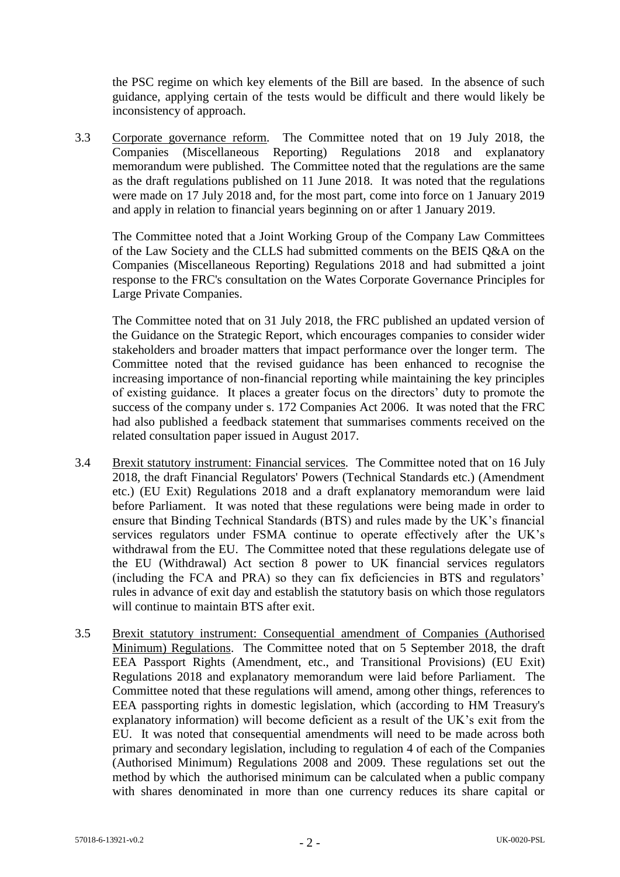the PSC regime on which key elements of the Bill are based. In the absence of such guidance, applying certain of the tests would be difficult and there would likely be inconsistency of approach.

3.3 Corporate governance reform*.* The Committee noted that on 19 July 2018, the Companies (Miscellaneous Reporting) Regulations 2018 and explanatory memorandum were published. The Committee noted that the regulations are the same as the draft regulations published on 11 June 2018. It was noted that the regulations were made on 17 July 2018 and, for the most part, come into force on 1 January 2019 and apply in relation to financial years beginning on or after 1 January 2019.

The Committee noted that a Joint Working Group of the Company Law Committees of the Law Society and the CLLS had submitted comments on the BEIS Q&A on the Companies (Miscellaneous Reporting) Regulations 2018 and had submitted a joint response to the FRC's consultation on the Wates Corporate Governance Principles for Large Private Companies.

The Committee noted that on 31 July 2018, the FRC published an updated version of the Guidance on the Strategic Report, which encourages companies to consider wider stakeholders and broader matters that impact performance over the longer term. The Committee noted that the revised guidance has been enhanced to recognise the increasing importance of non-financial reporting while maintaining the key principles of existing guidance. It places a greater focus on the directors' duty to promote the success of the company under s. 172 Companies Act 2006. It was noted that the FRC had also published a feedback statement that summarises comments received on the related consultation paper issued in August 2017.

- 3.4 Brexit statutory instrument: Financial services*.* The Committee noted that on 16 July 2018, the draft Financial Regulators' Powers (Technical Standards etc.) (Amendment etc.) (EU Exit) Regulations 2018 and a draft explanatory memorandum were laid before Parliament. It was noted that these regulations were being made in order to ensure that Binding Technical Standards (BTS) and rules made by the UK's financial services regulators under FSMA continue to operate effectively after the UK's withdrawal from the EU. The Committee noted that these regulations delegate use of the EU (Withdrawal) Act section 8 power to UK financial services regulators (including the FCA and PRA) so they can fix deficiencies in BTS and regulators' rules in advance of exit day and establish the statutory basis on which those regulators will continue to maintain BTS after exit.
- 3.5 Brexit statutory instrument: Consequential amendment of Companies (Authorised Minimum) Regulations. The Committee noted that on 5 September 2018, the draft EEA Passport Rights (Amendment, etc., and Transitional Provisions) (EU Exit) Regulations 2018 and explanatory memorandum were laid before Parliament. The Committee noted that these regulations will amend, among other things, references to EEA passporting rights in domestic legislation, which (according to HM Treasury's explanatory information) will become deficient as a result of the UK's exit from the EU. It was noted that consequential amendments will need to be made across both primary and secondary legislation, including to regulation 4 of each of the Companies (Authorised Minimum) Regulations 2008 and 2009. These regulations set out the method by which the authorised minimum can be calculated when a public company with shares denominated in more than one currency reduces its share capital or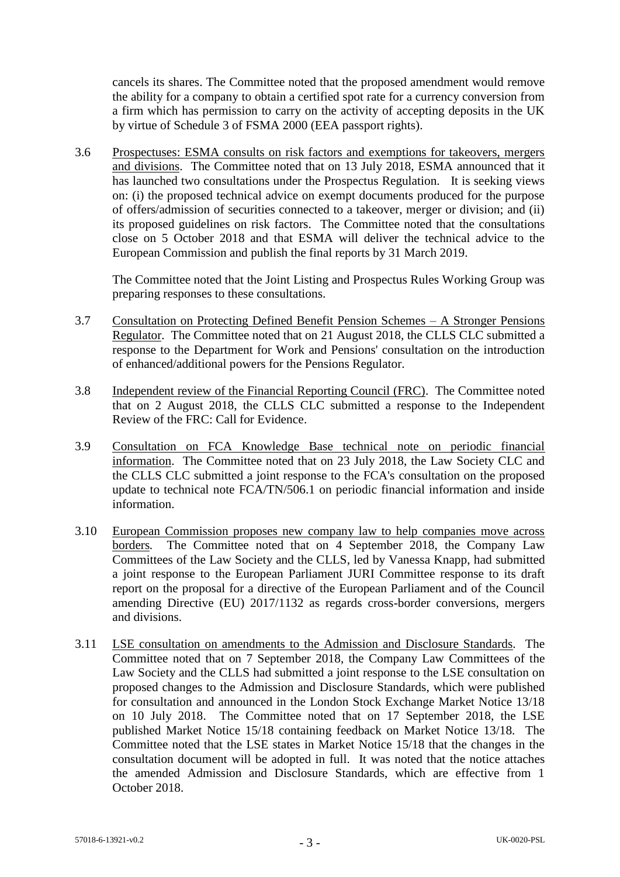cancels its shares. The Committee noted that the proposed amendment would remove the ability for a company to obtain a certified spot rate for a currency conversion from a firm which has permission to carry on the activity of accepting deposits in the UK by virtue of Schedule 3 of FSMA 2000 (EEA passport rights).

3.6 Prospectuses: ESMA consults on risk factors and exemptions for takeovers, mergers and divisions. The Committee noted that on 13 July 2018, ESMA announced that it has launched two consultations under the Prospectus Regulation. It is seeking views on: (i) the proposed technical advice on exempt documents produced for the purpose of offers/admission of securities connected to a takeover, merger or division; and (ii) its proposed guidelines on risk factors. The Committee noted that the consultations close on 5 October 2018 and that ESMA will deliver the technical advice to the European Commission and publish the final reports by 31 March 2019.

The Committee noted that the Joint Listing and Prospectus Rules Working Group was preparing responses to these consultations.

- 3.7 Consultation on Protecting Defined Benefit Pension Schemes A Stronger Pensions Regulator. The Committee noted that on 21 August 2018, the CLLS CLC submitted a response to the Department for Work and Pensions' consultation on the introduction of enhanced/additional powers for the Pensions Regulator.
- 3.8 Independent review of the Financial Reporting Council (FRC). The Committee noted that on 2 August 2018, the CLLS CLC submitted a response to the Independent Review of the FRC: Call for Evidence.
- 3.9 Consultation on FCA Knowledge Base technical note on periodic financial information. The Committee noted that on 23 July 2018, the Law Society CLC and the CLLS CLC submitted a joint response to the FCA's consultation on the proposed update to technical note FCA/TN/506.1 on periodic financial information and inside information.
- 3.10 European Commission proposes new company law to help companies move across borders*.* The Committee noted that on 4 September 2018, the Company Law Committees of the Law Society and the CLLS, led by Vanessa Knapp, had submitted a joint response to the European Parliament JURI Committee response to its draft report on the proposal for a directive of the European Parliament and of the Council amending Directive (EU) 2017/1132 as regards cross-border conversions, mergers and divisions.
- 3.11 LSE consultation on amendments to the Admission and Disclosure Standards*.* The Committee noted that on 7 September 2018, the Company Law Committees of the Law Society and the CLLS had submitted a joint response to the LSE consultation on proposed changes to the Admission and Disclosure Standards, which were published for consultation and announced in the London Stock Exchange Market Notice 13/18 on 10 July 2018. The Committee noted that on 17 September 2018, the LSE published Market Notice 15/18 containing feedback on Market Notice 13/18. The Committee noted that the LSE states in Market Notice 15/18 that the changes in the consultation document will be adopted in full. It was noted that the notice attaches the amended Admission and Disclosure Standards, which are effective from 1 October 2018.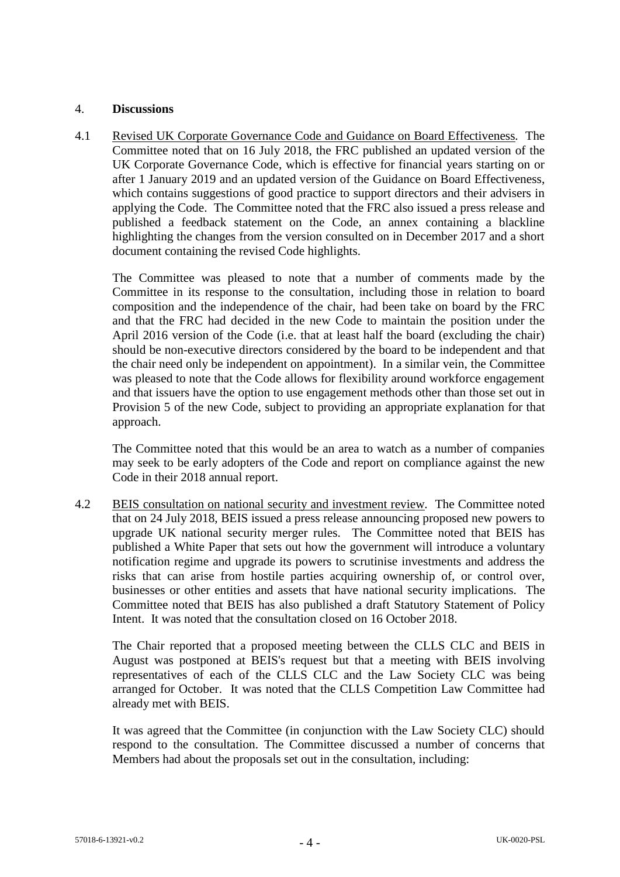## 4. **Discussions**

4.1 Revised UK Corporate Governance Code and Guidance on Board Effectiveness*.* The Committee noted that on 16 July 2018, the FRC published an updated version of the UK Corporate Governance Code, which is effective for financial years starting on or after 1 January 2019 and an updated version of the Guidance on Board Effectiveness, which contains suggestions of good practice to support directors and their advisers in applying the Code. The Committee noted that the FRC also issued a press release and published a feedback statement on the Code, an annex containing a blackline highlighting the changes from the version consulted on in December 2017 and a short document containing the revised Code highlights.

The Committee was pleased to note that a number of comments made by the Committee in its response to the consultation, including those in relation to board composition and the independence of the chair, had been take on board by the FRC and that the FRC had decided in the new Code to maintain the position under the April 2016 version of the Code (i.e. that at least half the board (excluding the chair) should be non-executive directors considered by the board to be independent and that the chair need only be independent on appointment). In a similar vein, the Committee was pleased to note that the Code allows for flexibility around workforce engagement and that issuers have the option to use engagement methods other than those set out in Provision 5 of the new Code, subject to providing an appropriate explanation for that approach.

The Committee noted that this would be an area to watch as a number of companies may seek to be early adopters of the Code and report on compliance against the new Code in their 2018 annual report.

4.2 BEIS consultation on national security and investment review*.* The Committee noted that on 24 July 2018, BEIS issued a press release announcing proposed new powers to upgrade UK national security merger rules. The Committee noted that BEIS has published a White Paper that sets out how the government will introduce a voluntary notification regime and upgrade its powers to scrutinise investments and address the risks that can arise from hostile parties acquiring ownership of, or control over, businesses or other entities and assets that have national security implications. The Committee noted that BEIS has also published a draft Statutory Statement of Policy Intent. It was noted that the consultation closed on 16 October 2018.

The Chair reported that a proposed meeting between the CLLS CLC and BEIS in August was postponed at BEIS's request but that a meeting with BEIS involving representatives of each of the CLLS CLC and the Law Society CLC was being arranged for October. It was noted that the CLLS Competition Law Committee had already met with BEIS.

It was agreed that the Committee (in conjunction with the Law Society CLC) should respond to the consultation. The Committee discussed a number of concerns that Members had about the proposals set out in the consultation, including: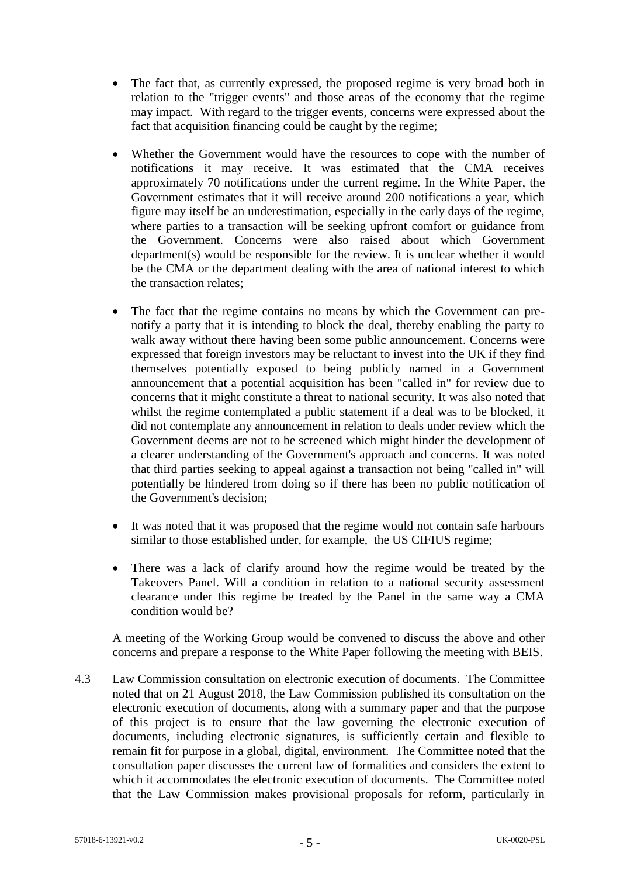- The fact that, as currently expressed, the proposed regime is very broad both in relation to the "trigger events" and those areas of the economy that the regime may impact. With regard to the trigger events, concerns were expressed about the fact that acquisition financing could be caught by the regime;
- Whether the Government would have the resources to cope with the number of notifications it may receive. It was estimated that the CMA receives approximately 70 notifications under the current regime. In the White Paper, the Government estimates that it will receive around 200 notifications a year, which figure may itself be an underestimation, especially in the early days of the regime, where parties to a transaction will be seeking upfront comfort or guidance from the Government. Concerns were also raised about which Government department(s) would be responsible for the review. It is unclear whether it would be the CMA or the department dealing with the area of national interest to which the transaction relates;
- The fact that the regime contains no means by which the Government can prenotify a party that it is intending to block the deal, thereby enabling the party to walk away without there having been some public announcement. Concerns were expressed that foreign investors may be reluctant to invest into the UK if they find themselves potentially exposed to being publicly named in a Government announcement that a potential acquisition has been "called in" for review due to concerns that it might constitute a threat to national security. It was also noted that whilst the regime contemplated a public statement if a deal was to be blocked, it did not contemplate any announcement in relation to deals under review which the Government deems are not to be screened which might hinder the development of a clearer understanding of the Government's approach and concerns. It was noted that third parties seeking to appeal against a transaction not being "called in" will potentially be hindered from doing so if there has been no public notification of the Government's decision;
- It was noted that it was proposed that the regime would not contain safe harbours similar to those established under, for example, the US CIFIUS regime;
- There was a lack of clarify around how the regime would be treated by the Takeovers Panel. Will a condition in relation to a national security assessment clearance under this regime be treated by the Panel in the same way a CMA condition would be?

A meeting of the Working Group would be convened to discuss the above and other concerns and prepare a response to the White Paper following the meeting with BEIS.

4.3 Law Commission consultation on electronic execution of documents. The Committee noted that on 21 August 2018, the Law Commission published its consultation on the electronic execution of documents, along with a summary paper and that the purpose of this project is to ensure that the law governing the electronic execution of documents, including electronic signatures, is sufficiently certain and flexible to remain fit for purpose in a global, digital, environment. The Committee noted that the consultation paper discusses the current law of formalities and considers the extent to which it accommodates the electronic execution of documents. The Committee noted that the Law Commission makes provisional proposals for reform, particularly in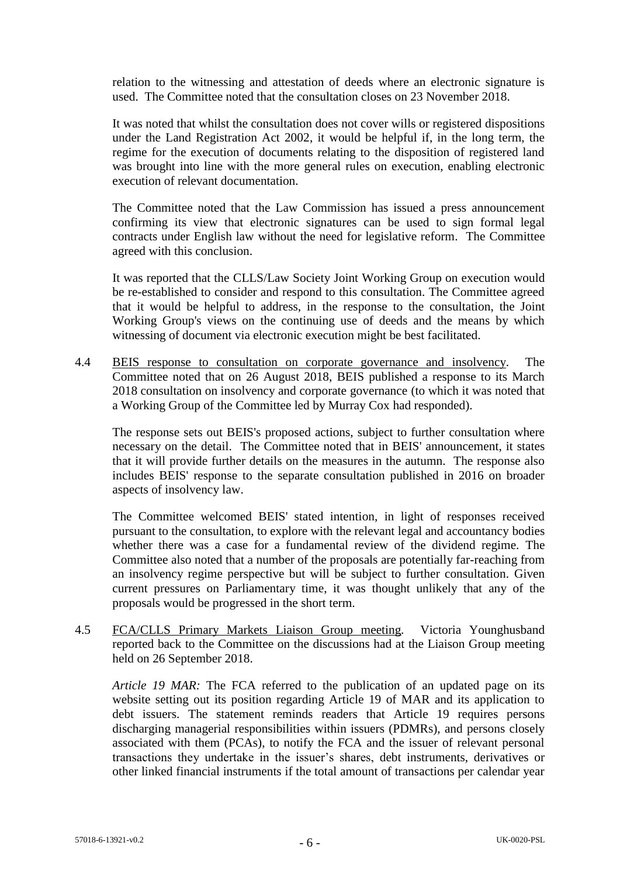relation to the witnessing and attestation of deeds where an electronic signature is used. The Committee noted that the consultation closes on 23 November 2018.

It was noted that whilst the consultation does not cover wills or registered dispositions under the Land Registration Act 2002, it would be helpful if, in the long term, the regime for the execution of documents relating to the disposition of registered land was brought into line with the more general rules on execution, enabling electronic execution of relevant documentation.

The Committee noted that the Law Commission has issued a press announcement confirming its view that electronic signatures can be used to sign formal legal contracts under English law without the need for legislative reform. The Committee agreed with this conclusion.

It was reported that the CLLS/Law Society Joint Working Group on execution would be re-established to consider and respond to this consultation. The Committee agreed that it would be helpful to address, in the response to the consultation, the Joint Working Group's views on the continuing use of deeds and the means by which witnessing of document via electronic execution might be best facilitated.

4.4 BEIS response to consultation on corporate governance and insolvency*.* The Committee noted that on 26 August 2018, BEIS published a response to its March 2018 consultation on insolvency and corporate governance (to which it was noted that a Working Group of the Committee led by Murray Cox had responded).

The response sets out BEIS's proposed actions, subject to further consultation where necessary on the detail. The Committee noted that in BEIS' announcement, it states that it will provide further details on the measures in the autumn. The response also includes BEIS' response to the separate consultation published in 2016 on broader aspects of insolvency law.

The Committee welcomed BEIS' stated intention, in light of responses received pursuant to the consultation, to explore with the relevant legal and accountancy bodies whether there was a case for a fundamental review of the dividend regime. The Committee also noted that a number of the proposals are potentially far-reaching from an insolvency regime perspective but will be subject to further consultation. Given current pressures on Parliamentary time, it was thought unlikely that any of the proposals would be progressed in the short term.

4.5 FCA/CLLS Primary Markets Liaison Group meeting*.* Victoria Younghusband reported back to the Committee on the discussions had at the Liaison Group meeting held on 26 September 2018.

*Article 19 MAR:* The FCA referred to the publication of an updated page on its website setting out its position regarding Article 19 of MAR and its application to debt issuers. The statement reminds readers that Article 19 requires persons discharging managerial responsibilities within issuers (PDMRs), and persons closely associated with them (PCAs), to notify the FCA and the issuer of relevant personal transactions they undertake in the issuer's shares, debt instruments, derivatives or other linked financial instruments if the total amount of transactions per calendar year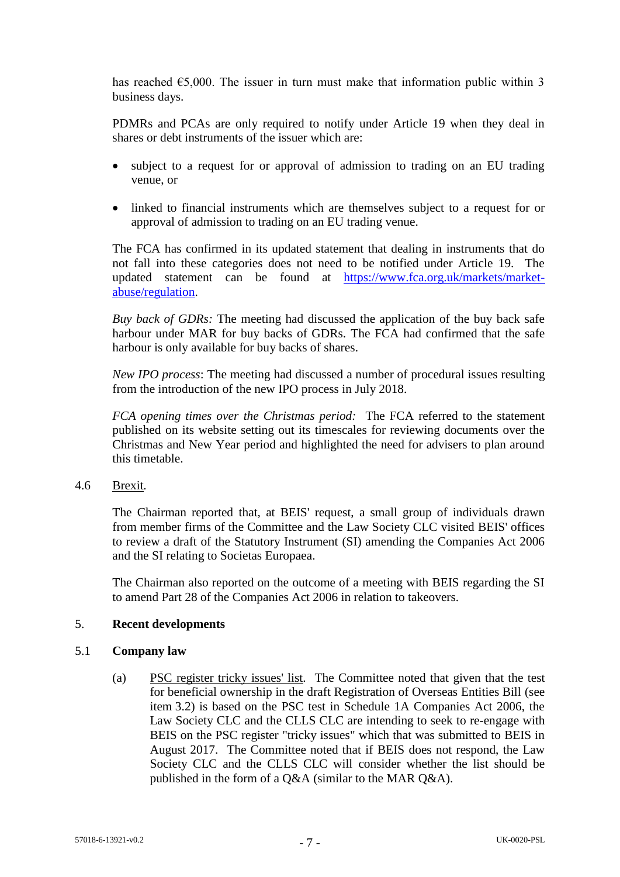has reached  $\epsilon$ 5,000. The issuer in turn must make that information public within 3 business days.

PDMRs and PCAs are only required to notify under Article 19 when they deal in shares or debt instruments of the issuer which are:

- subject to a request for or approval of admission to trading on an EU trading venue, or
- linked to financial instruments which are themselves subject to a request for or approval of admission to trading on an EU trading venue.

The FCA has confirmed in its updated statement that dealing in instruments that do not fall into these categories does not need to be notified under Article 19. The updated statement can be found at [https://www.fca.org.uk/markets/market](https://www.fca.org.uk/markets/market-abuse/regulation)[abuse/regulation.](https://www.fca.org.uk/markets/market-abuse/regulation)

*Buy back of GDRs:* The meeting had discussed the application of the buy back safe harbour under MAR for buy backs of GDRs. The FCA had confirmed that the safe harbour is only available for buy backs of shares.

*New IPO process*: The meeting had discussed a number of procedural issues resulting from the introduction of the new IPO process in July 2018.

*FCA opening times over the Christmas period:* The FCA referred to the statement published on its website setting out its timescales for reviewing documents over the Christmas and New Year period and highlighted the need for advisers to plan around this timetable.

# 4.6 Brexit*.*

The Chairman reported that, at BEIS' request, a small group of individuals drawn from member firms of the Committee and the Law Society CLC visited BEIS' offices to review a draft of the Statutory Instrument (SI) amending the Companies Act 2006 and the SI relating to Societas Europaea.

The Chairman also reported on the outcome of a meeting with BEIS regarding the SI to amend Part 28 of the Companies Act 2006 in relation to takeovers.

## 5. **Recent developments**

## 5.1 **Company law**

(a) PSC register tricky issues' list*.* The Committee noted that given that the test for beneficial ownership in the draft Registration of Overseas Entities Bill (see item 3.2) is based on the PSC test in Schedule 1A Companies Act 2006, the Law Society CLC and the CLLS CLC are intending to seek to re-engage with BEIS on the PSC register "tricky issues" which that was submitted to BEIS in August 2017. The Committee noted that if BEIS does not respond, the Law Society CLC and the CLLS CLC will consider whether the list should be published in the form of a Q&A (similar to the MAR Q&A).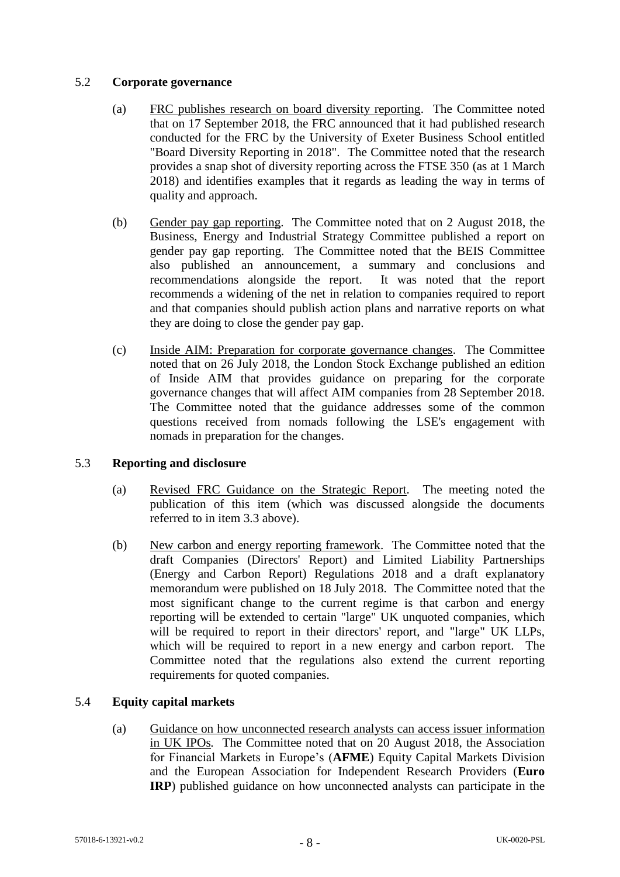# 5.2 **Corporate governance**

- (a) FRC publishes research on board diversity reporting. The Committee noted that on 17 September 2018, the FRC announced that it had published research conducted for the FRC by the University of Exeter Business School entitled "Board Diversity Reporting in 2018". The Committee noted that the research provides a snap shot of diversity reporting across the FTSE 350 (as at 1 March 2018) and identifies examples that it regards as leading the way in terms of quality and approach.
- (b) Gender pay gap reporting. The Committee noted that on 2 August 2018, the Business, Energy and Industrial Strategy Committee published a report on gender pay gap reporting. The Committee noted that the BEIS Committee also published an announcement, a summary and conclusions and recommendations alongside the report. It was noted that the report recommends a widening of the net in relation to companies required to report and that companies should publish action plans and narrative reports on what they are doing to close the gender pay gap.
- (c) Inside AIM: Preparation for corporate governance changes. The Committee noted that on 26 July 2018, the London Stock Exchange published an edition of Inside AIM that provides guidance on preparing for the corporate governance changes that will affect AIM companies from 28 September 2018. The Committee noted that the guidance addresses some of the common questions received from nomads following the LSE's engagement with nomads in preparation for the changes.

# 5.3 **Reporting and disclosure**

- (a) Revised FRC Guidance on the Strategic Report*.* The meeting noted the publication of this item (which was discussed alongside the documents referred to in item 3.3 above).
- (b) New carbon and energy reporting framework. The Committee noted that the draft Companies (Directors' Report) and Limited Liability Partnerships (Energy and Carbon Report) Regulations 2018 and a draft explanatory memorandum were published on 18 July 2018. The Committee noted that the most significant change to the current regime is that carbon and energy reporting will be extended to certain "large" UK unquoted companies, which will be required to report in their directors' report, and "large" UK LLPs, which will be required to report in a new energy and carbon report. The Committee noted that the regulations also extend the current reporting requirements for quoted companies.

## 5.4 **Equity capital markets**

(a) Guidance on how unconnected research analysts can access issuer information in UK IPOs*.* The Committee noted that on 20 August 2018, the Association for Financial Markets in Europe's (**AFME**) Equity Capital Markets Division and the European Association for Independent Research Providers (**Euro IRP**) published guidance on how unconnected analysts can participate in the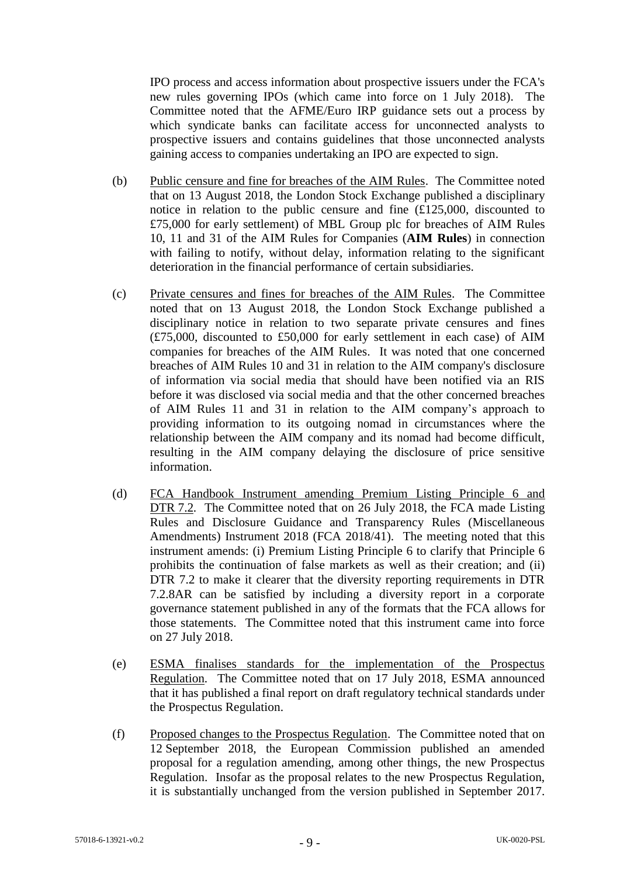IPO process and access information about prospective issuers under the FCA's new rules governing IPOs (which came into force on 1 July 2018). The Committee noted that the AFME/Euro IRP guidance sets out a process by which syndicate banks can facilitate access for unconnected analysts to prospective issuers and contains guidelines that those unconnected analysts gaining access to companies undertaking an IPO are expected to sign.

- (b) Public censure and fine for breaches of the AIM Rules. The Committee noted that on 13 August 2018, the London Stock Exchange published a disciplinary notice in relation to the public censure and fine (£125,000, discounted to £75,000 for early settlement) of MBL Group plc for breaches of AIM Rules 10, 11 and 31 of the AIM Rules for Companies (**AIM Rules**) in connection with failing to notify, without delay, information relating to the significant deterioration in the financial performance of certain subsidiaries.
- (c) Private censures and fines for breaches of the AIM Rules. The Committee noted that on 13 August 2018, the London Stock Exchange published a disciplinary notice in relation to two separate private censures and fines (£75,000, discounted to £50,000 for early settlement in each case) of AIM companies for breaches of the AIM Rules. It was noted that one concerned breaches of AIM Rules 10 and 31 in relation to the AIM company's disclosure of information via social media that should have been notified via an RIS before it was disclosed via social media and that the other concerned breaches of AIM Rules 11 and 31 in relation to the AIM company's approach to providing information to its outgoing nomad in circumstances where the relationship between the AIM company and its nomad had become difficult, resulting in the AIM company delaying the disclosure of price sensitive information.
- (d) FCA Handbook Instrument amending Premium Listing Principle 6 and DTR 7.2. The Committee noted that on 26 July 2018, the FCA made Listing Rules and Disclosure Guidance and Transparency Rules (Miscellaneous Amendments) Instrument 2018 (FCA 2018/41). The meeting noted that this instrument amends: (i) Premium Listing Principle 6 to clarify that Principle 6 prohibits the continuation of false markets as well as their creation; and (ii) DTR 7.2 to make it clearer that the diversity reporting requirements in DTR 7.2.8AR can be satisfied by including a diversity report in a corporate governance statement published in any of the formats that the FCA allows for those statements. The Committee noted that this instrument came into force on 27 July 2018.
- (e) ESMA finalises standards for the implementation of the Prospectus Regulation*.* The Committee noted that on 17 July 2018, ESMA announced that it has published a final report on draft regulatory technical standards under the Prospectus Regulation.
- (f) Proposed changes to the Prospectus Regulation. The Committee noted that on 12 September 2018, the European Commission published an amended proposal for a regulation amending, among other things, the new Prospectus Regulation. Insofar as the proposal relates to the new Prospectus Regulation, it is substantially unchanged from the version published in September 2017.